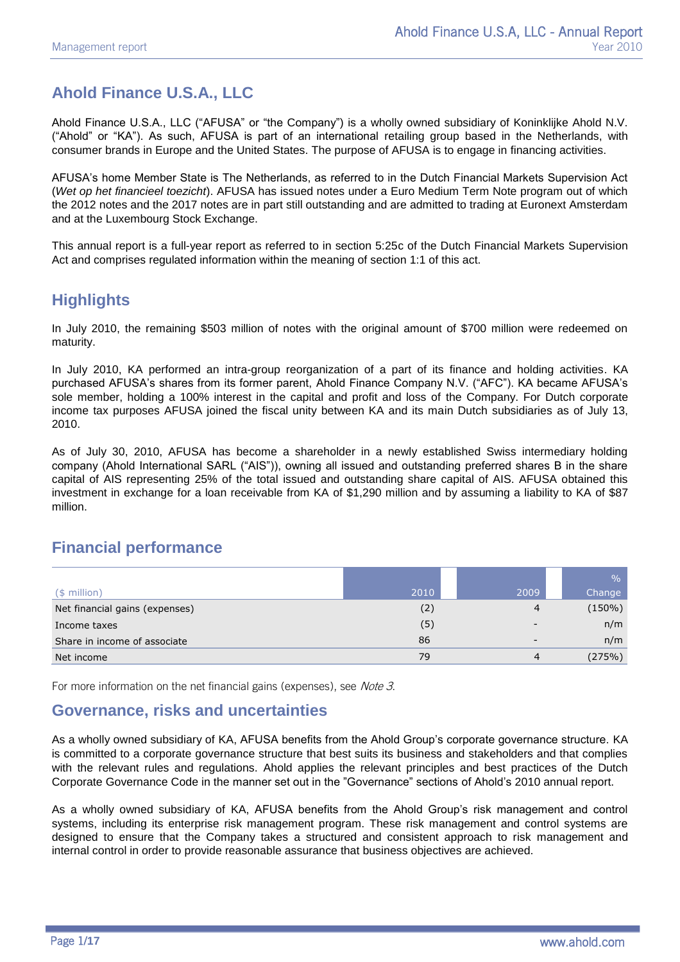# **Ahold Finance U.S.A., LLC**

Ahold Finance U.S.A., LLC ("AFUSA" or "the Company") is a wholly owned subsidiary of Koninklijke Ahold N.V. ("Ahold" or "KA"). As such, AFUSA is part of an international retailing group based in the Netherlands, with consumer brands in Europe and the United States. The purpose of AFUSA is to engage in financing activities.

AFUSA"s home Member State is The Netherlands, as referred to in the Dutch Financial Markets Supervision Act (*Wet op het financieel toezicht*). AFUSA has issued notes under a Euro Medium Term Note program out of which the 2012 notes and the 2017 notes are in part still outstanding and are admitted to trading at Euronext Amsterdam and at the Luxembourg Stock Exchange.

This annual report is a full-year report as referred to in section 5:25c of the Dutch Financial Markets Supervision Act and comprises regulated information within the meaning of section 1:1 of this act.

# **Highlights**

In July 2010, the remaining \$503 million of notes with the original amount of \$700 million were redeemed on maturity.

In July 2010, KA performed an intra-group reorganization of a part of its finance and holding activities. KA purchased AFUSA"s shares from its former parent, Ahold Finance Company N.V. ("AFC"). KA became AFUSA"s sole member, holding a 100% interest in the capital and profit and loss of the Company. For Dutch corporate income tax purposes AFUSA joined the fiscal unity between KA and its main Dutch subsidiaries as of July 13, 2010.

As of July 30, 2010, AFUSA has become a shareholder in a newly established Swiss intermediary holding company (Ahold International SARL ("AIS")), owning all issued and outstanding preferred shares B in the share capital of AIS representing 25% of the total issued and outstanding share capital of AIS. AFUSA obtained this investment in exchange for a loan receivable from KA of \$1,290 million and by assuming a liability to KA of \$87 million.

# **Financial performance**

|                                |      |      | $\%$      |
|--------------------------------|------|------|-----------|
| $($$ million $)$               | 2010 | 2009 | Change    |
| Net financial gains (expenses) | (2)  | 4    | $(150\%)$ |
| Income taxes                   | (5)  | -    | n/m       |
| Share in income of associate   | 86   | -    | n/m       |
| Net income                     | 79   | Δ    | (275%)    |

For more information on the net financial gains (expenses), see *Note 3*.

# **Governance, risks and uncertainties**

As a wholly owned subsidiary of KA, AFUSA benefits from the Ahold Group"s corporate governance structure. KA is committed to a corporate governance structure that best suits its business and stakeholders and that complies with the relevant rules and regulations. Ahold applies the relevant principles and best practices of the Dutch Corporate Governance Code in the manner set out in the "Governance" sections of Ahold"s 2010 annual report.

As a wholly owned subsidiary of KA, AFUSA benefits from the Ahold Group"s risk management and control systems, including its enterprise risk management program. These risk management and control systems are designed to ensure that the Company takes a structured and consistent approach to risk management and internal control in order to provide reasonable assurance that business objectives are achieved.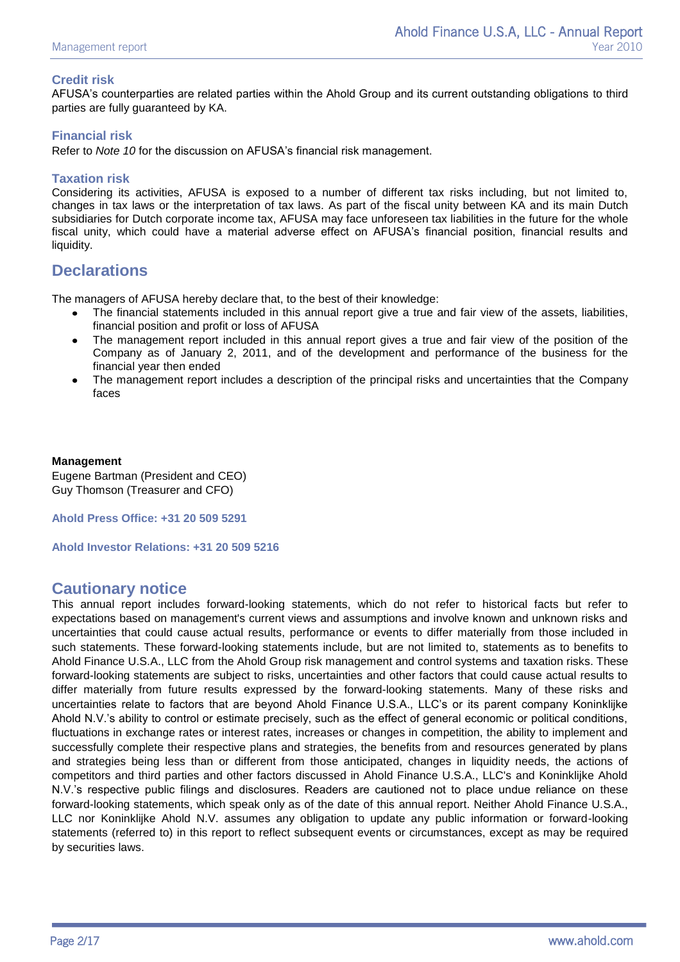## **Credit risk**

AFUSA"s counterparties are related parties within the Ahold Group and its current outstanding obligations to third parties are fully guaranteed by KA.

## **Financial risk**

Refer to *Note 10* for the discussion on AFUSA"s financial risk management.

#### **Taxation risk**

Considering its activities, AFUSA is exposed to a number of different tax risks including, but not limited to, changes in tax laws or the interpretation of tax laws. As part of the fiscal unity between KA and its main Dutch subsidiaries for Dutch corporate income tax, AFUSA may face unforeseen tax liabilities in the future for the whole fiscal unity, which could have a material adverse effect on AFUSA's financial position, financial results and liquidity.

## **Declarations**

The managers of AFUSA hereby declare that, to the best of their knowledge:

- The financial statements included in this annual report give a true and fair view of the assets, liabilities, financial position and profit or loss of AFUSA
- The management report included in this annual report gives a true and fair view of the position of the Company as of January 2, 2011, and of the development and performance of the business for the financial year then ended
- The management report includes a description of the principal risks and uncertainties that the Company  $\bullet$ faces

#### **Management**

Eugene Bartman (President and CEO) Guy Thomson (Treasurer and CFO)

**Ahold Press Office: +31 20 509 5291**

**Ahold Investor Relations: +31 20 509 5216**

## **Cautionary notice**

This annual report includes forward-looking statements, which do not refer to historical facts but refer to expectations based on management's current views and assumptions and involve known and unknown risks and uncertainties that could cause actual results, performance or events to differ materially from those included in such statements. These forward-looking statements include, but are not limited to, statements as to benefits to Ahold Finance U.S.A., LLC from the Ahold Group risk management and control systems and taxation risks. These forward-looking statements are subject to risks, uncertainties and other factors that could cause actual results to differ materially from future results expressed by the forward-looking statements. Many of these risks and uncertainties relate to factors that are beyond Ahold Finance U.S.A., LLC"s or its parent company Koninklijke Ahold N.V."s ability to control or estimate precisely, such as the effect of general economic or political conditions, fluctuations in exchange rates or interest rates, increases or changes in competition, the ability to implement and successfully complete their respective plans and strategies, the benefits from and resources generated by plans and strategies being less than or different from those anticipated, changes in liquidity needs, the actions of competitors and third parties and other factors discussed in Ahold Finance U.S.A., LLC's and Koninklijke Ahold N.V."s respective public filings and disclosures. Readers are cautioned not to place undue reliance on these forward-looking statements, which speak only as of the date of this annual report. Neither Ahold Finance U.S.A., LLC nor Koninklijke Ahold N.V. assumes any obligation to update any public information or forward-looking statements (referred to) in this report to reflect subsequent events or circumstances, except as may be required by securities laws.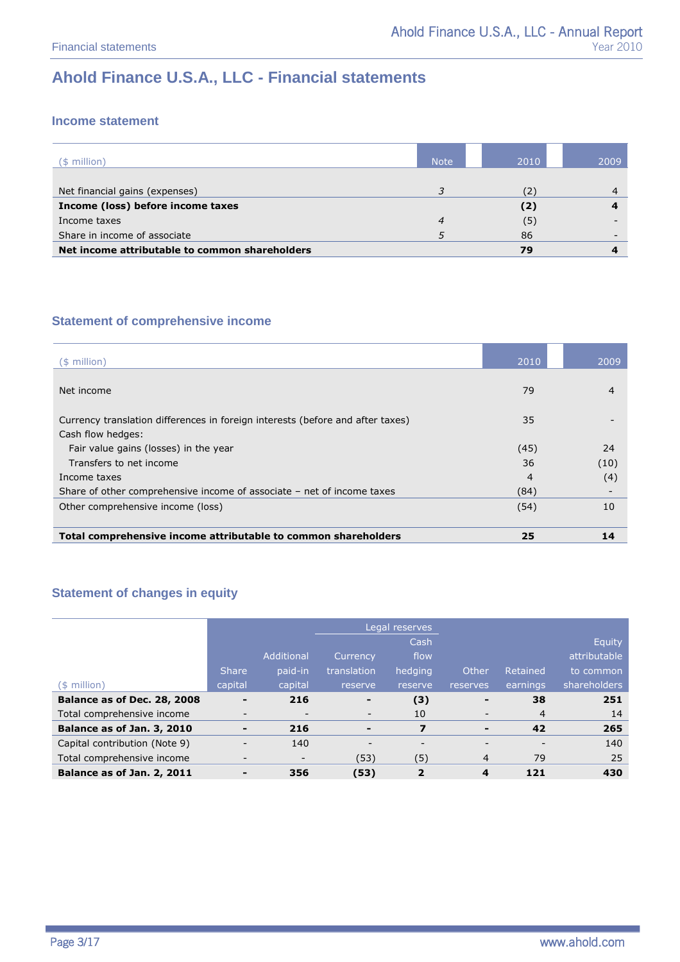# **Ahold Finance U.S.A., LLC - Financial statements**

## **Income statement**

| $($$ million)                                  | <b>Note</b> | 2010 | 2009 |
|------------------------------------------------|-------------|------|------|
|                                                |             |      |      |
| Net financial gains (expenses)                 |             | (2)  |      |
| Income (loss) before income taxes              |             | (2)  |      |
| Income taxes                                   | 4           | (5)  |      |
| Share in income of associate                   |             | 86   |      |
| Net income attributable to common shareholders |             | 79   |      |

## **Statement of comprehensive income**

| $($$ million)                                                                                       | 2010 | 2009 |
|-----------------------------------------------------------------------------------------------------|------|------|
| Net income                                                                                          | 79   | 4    |
| Currency translation differences in foreign interests (before and after taxes)<br>Cash flow hedges: | 35   |      |
| Fair value gains (losses) in the year                                                               | (45) | 24   |
| Transfers to net income                                                                             | 36   | (10) |
| Income taxes                                                                                        | 4    | (4)  |
| Share of other comprehensive income of associate - net of income taxes                              | (84) |      |
| Other comprehensive income (loss)                                                                   | (54) | 10   |
| Total comprehensive income attributable to common shareholders                                      | 25   | 14   |

## **Statement of changes in equity**

|                               | Legal reserves           |                          |                          |                |                          |          |              |
|-------------------------------|--------------------------|--------------------------|--------------------------|----------------|--------------------------|----------|--------------|
|                               |                          |                          |                          | Cash           |                          |          | Equity       |
|                               |                          | Additional               | Currency                 | flow           |                          |          | attributable |
|                               | <b>Share</b>             | paid-in                  | translation              | hedging        | Other                    | Retained | to common    |
| $($$ million $)$              | capital                  | capital                  | reserve                  | reserve        | reserves                 | earnings | shareholders |
| Balance as of Dec. 28, 2008   |                          | 216                      | -                        | (3)            | -                        | 38       | 251          |
| Total comprehensive income    |                          | $\overline{\phantom{0}}$ |                          | 10             | -                        | 4        | 14           |
| Balance as of Jan. 3, 2010    |                          | 216                      | $\overline{\phantom{0}}$ | 7              | ٠                        | 42       | 265          |
| Capital contribution (Note 9) | $\overline{\phantom{0}}$ | 140                      |                          |                | $\overline{\phantom{a}}$ |          | 140          |
| Total comprehensive income    |                          | $\overline{\phantom{a}}$ | (53)                     | (5)            | 4                        | 79       | 25           |
| Balance as of Jan. 2, 2011    |                          | 356                      | (53)                     | $\overline{2}$ | 4                        | 121      | 430          |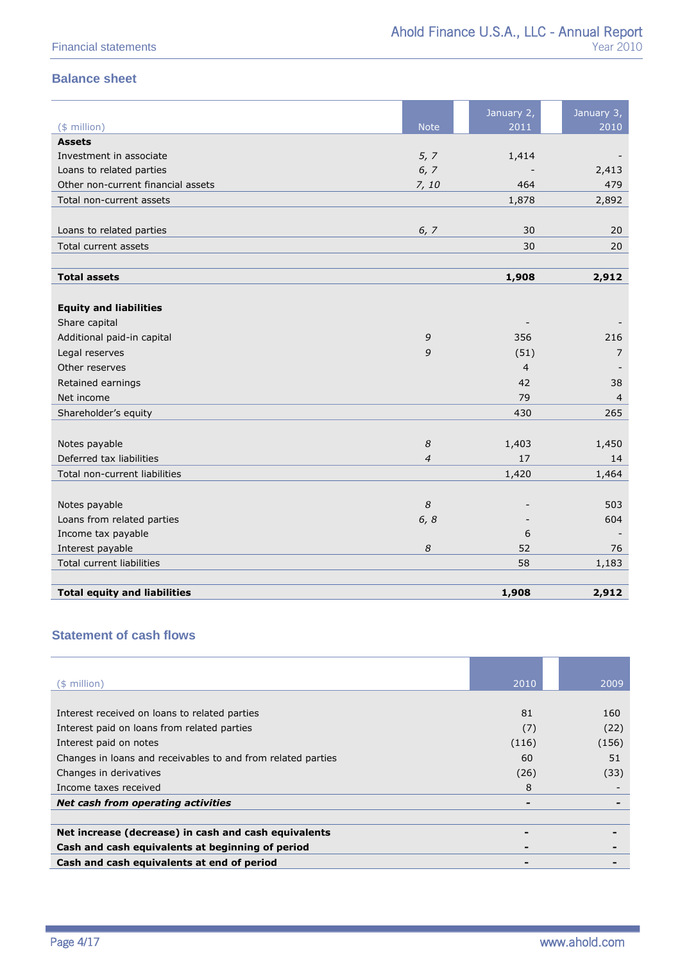## **Balance sheet**

|                                     |                | January 2,     | January 3,     |
|-------------------------------------|----------------|----------------|----------------|
| $($$ million)                       | <b>Note</b>    | 2011           | 2010           |
| <b>Assets</b>                       |                |                |                |
| Investment in associate             | 5, 7           | 1,414          |                |
| Loans to related parties            | 6, 7           |                | 2,413          |
| Other non-current financial assets  | 7, 10          | 464            | 479            |
| Total non-current assets            |                | 1,878          | 2,892          |
|                                     |                |                |                |
| Loans to related parties            | 6, 7           | 30             | 20             |
| Total current assets                |                | 30             | 20             |
|                                     |                |                |                |
| <b>Total assets</b>                 |                | 1,908          | 2,912          |
|                                     |                |                |                |
| <b>Equity and liabilities</b>       |                |                |                |
| Share capital                       |                |                |                |
| Additional paid-in capital          | 9              | 356            | 216            |
| Legal reserves                      | 9              | (51)           | $\overline{7}$ |
| Other reserves                      |                | $\overline{4}$ |                |
| Retained earnings                   |                | 42             | 38             |
| Net income                          |                | 79             | $\overline{4}$ |
| Shareholder's equity                |                | 430            | 265            |
|                                     |                |                |                |
| Notes payable                       | 8              | 1,403          | 1,450          |
| Deferred tax liabilities            | $\overline{4}$ | 17             | 14             |
| Total non-current liabilities       |                | 1,420          | 1,464          |
|                                     |                |                |                |
| Notes payable                       | 8              |                | 503            |
| Loans from related parties          | 6, 8           |                | 604            |
| Income tax payable                  |                | 6              |                |
| Interest payable                    | 8              | 52             | 76             |
| Total current liabilities           |                | 58             | 1,183          |
|                                     |                |                |                |
| <b>Total equity and liabilities</b> |                | 1,908          | 2,912          |

## **Statement of cash flows**

| $($$ million $)$                                             | 2010           | 2009  |
|--------------------------------------------------------------|----------------|-------|
|                                                              |                |       |
| Interest received on loans to related parties                | 81             | 160   |
| Interest paid on loans from related parties                  | (7)            | (22)  |
| Interest paid on notes                                       | (116)          | (156) |
| Changes in loans and receivables to and from related parties | 60             | 51    |
| Changes in derivatives                                       | (26)           | (33)  |
| Income taxes received                                        | 8              |       |
| Net cash from operating activities                           |                |       |
|                                                              |                |       |
| Net increase (decrease) in cash and cash equivalents         |                |       |
| Cash and cash equivalents at beginning of period             | $\blacksquare$ |       |
| Cash and cash equivalents at end of period                   |                |       |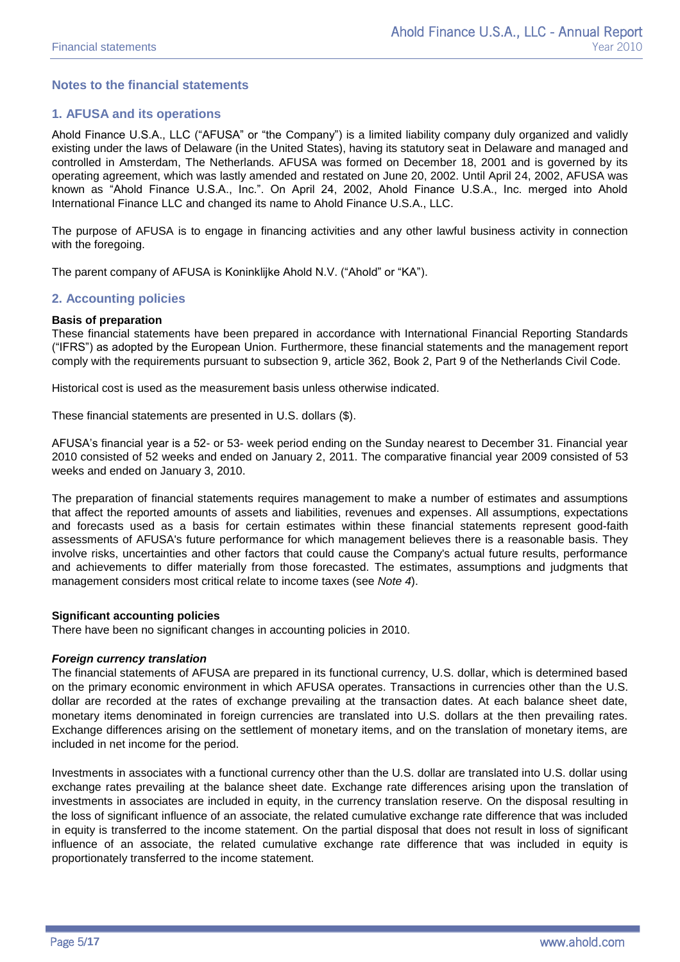## **Notes to the financial statements**

#### **1. AFUSA and its operations**

Ahold Finance U.S.A., LLC ("AFUSA" or "the Company") is a limited liability company duly organized and validly existing under the laws of Delaware (in the United States), having its statutory seat in Delaware and managed and controlled in Amsterdam, The Netherlands. AFUSA was formed on December 18, 2001 and is governed by its operating agreement, which was lastly amended and restated on June 20, 2002. Until April 24, 2002, AFUSA was known as "Ahold Finance U.S.A., Inc.". On April 24, 2002, Ahold Finance U.S.A., Inc. merged into Ahold International Finance LLC and changed its name to Ahold Finance U.S.A., LLC.

The purpose of AFUSA is to engage in financing activities and any other lawful business activity in connection with the foregoing.

The parent company of AFUSA is Koninklijke Ahold N.V. ("Ahold" or "KA").

#### **2. Accounting policies**

#### **Basis of preparation**

These financial statements have been prepared in accordance with International Financial Reporting Standards ("IFRS") as adopted by the European Union. Furthermore, these financial statements and the management report comply with the requirements pursuant to subsection 9, article 362, Book 2, Part 9 of the Netherlands Civil Code.

Historical cost is used as the measurement basis unless otherwise indicated.

These financial statements are presented in U.S. dollars (\$).

AFUSA"s financial year is a 52- or 53- week period ending on the Sunday nearest to December 31. Financial year 2010 consisted of 52 weeks and ended on January 2, 2011. The comparative financial year 2009 consisted of 53 weeks and ended on January 3, 2010.

The preparation of financial statements requires management to make a number of estimates and assumptions that affect the reported amounts of assets and liabilities, revenues and expenses. All assumptions, expectations and forecasts used as a basis for certain estimates within these financial statements represent good-faith assessments of AFUSA's future performance for which management believes there is a reasonable basis. They involve risks, uncertainties and other factors that could cause the Company's actual future results, performance and achievements to differ materially from those forecasted. The estimates, assumptions and judgments that management considers most critical relate to income taxes (see *Note 4*).

#### **Significant accounting policies**

There have been no significant changes in accounting policies in 2010.

#### *Foreign currency translation*

The financial statements of AFUSA are prepared in its functional currency, U.S. dollar, which is determined based on the primary economic environment in which AFUSA operates. Transactions in currencies other than the U.S. dollar are recorded at the rates of exchange prevailing at the transaction dates. At each balance sheet date, monetary items denominated in foreign currencies are translated into U.S. dollars at the then prevailing rates. Exchange differences arising on the settlement of monetary items, and on the translation of monetary items, are included in net income for the period.

Investments in associates with a functional currency other than the U.S. dollar are translated into U.S. dollar using exchange rates prevailing at the balance sheet date. Exchange rate differences arising upon the translation of investments in associates are included in equity, in the currency translation reserve. On the disposal resulting in the loss of significant influence of an associate, the related cumulative exchange rate difference that was included in equity is transferred to the income statement. On the partial disposal that does not result in loss of significant influence of an associate, the related cumulative exchange rate difference that was included in equity is proportionately transferred to the income statement.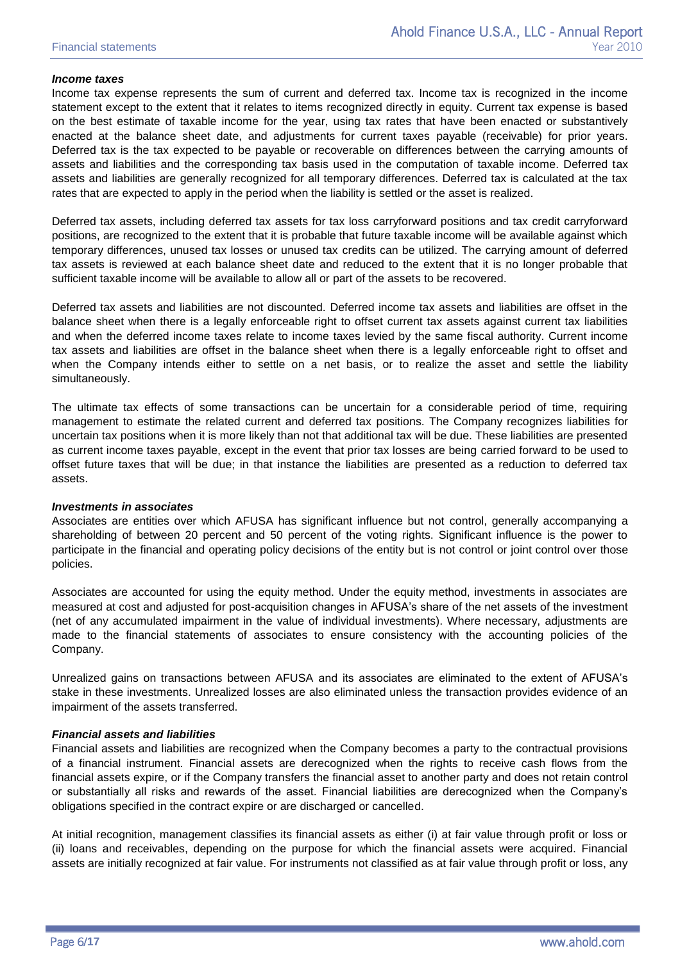#### *Income taxes*

Income tax expense represents the sum of current and deferred tax. Income tax is recognized in the income statement except to the extent that it relates to items recognized directly in equity. Current tax expense is based on the best estimate of taxable income for the year, using tax rates that have been enacted or substantively enacted at the balance sheet date, and adjustments for current taxes payable (receivable) for prior years. Deferred tax is the tax expected to be payable or recoverable on differences between the carrying amounts of assets and liabilities and the corresponding tax basis used in the computation of taxable income. Deferred tax assets and liabilities are generally recognized for all temporary differences. Deferred tax is calculated at the tax rates that are expected to apply in the period when the liability is settled or the asset is realized.

Deferred tax assets, including deferred tax assets for tax loss carryforward positions and tax credit carryforward positions, are recognized to the extent that it is probable that future taxable income will be available against which temporary differences, unused tax losses or unused tax credits can be utilized. The carrying amount of deferred tax assets is reviewed at each balance sheet date and reduced to the extent that it is no longer probable that sufficient taxable income will be available to allow all or part of the assets to be recovered.

Deferred tax assets and liabilities are not discounted. Deferred income tax assets and liabilities are offset in the balance sheet when there is a legally enforceable right to offset current tax assets against current tax liabilities and when the deferred income taxes relate to income taxes levied by the same fiscal authority. Current income tax assets and liabilities are offset in the balance sheet when there is a legally enforceable right to offset and when the Company intends either to settle on a net basis, or to realize the asset and settle the liability simultaneously.

The ultimate tax effects of some transactions can be uncertain for a considerable period of time, requiring management to estimate the related current and deferred tax positions. The Company recognizes liabilities for uncertain tax positions when it is more likely than not that additional tax will be due. These liabilities are presented as current income taxes payable, except in the event that prior tax losses are being carried forward to be used to offset future taxes that will be due; in that instance the liabilities are presented as a reduction to deferred tax assets.

#### *Investments in associates*

Associates are entities over which AFUSA has significant influence but not control, generally accompanying a shareholding of between 20 percent and 50 percent of the voting rights. Significant influence is the power to participate in the financial and operating policy decisions of the entity but is not control or joint control over those policies.

Associates are accounted for using the equity method. Under the equity method, investments in associates are measured at cost and adjusted for post-acquisition changes in AFUSA"s share of the net assets of the investment (net of any accumulated impairment in the value of individual investments). Where necessary, adjustments are made to the financial statements of associates to ensure consistency with the accounting policies of the Company.

Unrealized gains on transactions between AFUSA and its associates are eliminated to the extent of AFUSA"s stake in these investments. Unrealized losses are also eliminated unless the transaction provides evidence of an impairment of the assets transferred.

#### *Financial assets and liabilities*

Financial assets and liabilities are recognized when the Company becomes a party to the contractual provisions of a financial instrument. Financial assets are derecognized when the rights to receive cash flows from the financial assets expire, or if the Company transfers the financial asset to another party and does not retain control or substantially all risks and rewards of the asset. Financial liabilities are derecognized when the Company"s obligations specified in the contract expire or are discharged or cancelled.

At initial recognition, management classifies its financial assets as either (i) at fair value through profit or loss or (ii) loans and receivables, depending on the purpose for which the financial assets were acquired. Financial assets are initially recognized at fair value. For instruments not classified as at fair value through profit or loss, any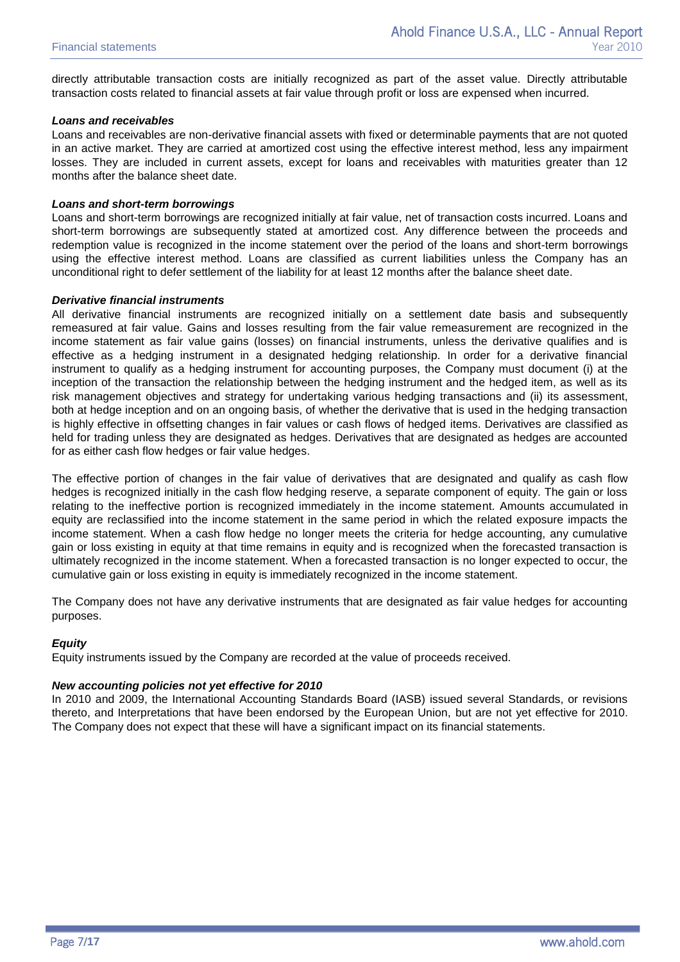directly attributable transaction costs are initially recognized as part of the asset value. Directly attributable transaction costs related to financial assets at fair value through profit or loss are expensed when incurred.

#### *Loans and receivables*

Loans and receivables are non-derivative financial assets with fixed or determinable payments that are not quoted in an active market. They are carried at amortized cost using the effective interest method, less any impairment losses. They are included in current assets, except for loans and receivables with maturities greater than 12 months after the balance sheet date.

#### *Loans and short-term borrowings*

Loans and short-term borrowings are recognized initially at fair value, net of transaction costs incurred. Loans and short-term borrowings are subsequently stated at amortized cost. Any difference between the proceeds and redemption value is recognized in the income statement over the period of the loans and short-term borrowings using the effective interest method. Loans are classified as current liabilities unless the Company has an unconditional right to defer settlement of the liability for at least 12 months after the balance sheet date.

#### *Derivative financial instruments*

All derivative financial instruments are recognized initially on a settlement date basis and subsequently remeasured at fair value. Gains and losses resulting from the fair value remeasurement are recognized in the income statement as fair value gains (losses) on financial instruments, unless the derivative qualifies and is effective as a hedging instrument in a designated hedging relationship. In order for a derivative financial instrument to qualify as a hedging instrument for accounting purposes, the Company must document (i) at the inception of the transaction the relationship between the hedging instrument and the hedged item, as well as its risk management objectives and strategy for undertaking various hedging transactions and (ii) its assessment, both at hedge inception and on an ongoing basis, of whether the derivative that is used in the hedging transaction is highly effective in offsetting changes in fair values or cash flows of hedged items. Derivatives are classified as held for trading unless they are designated as hedges. Derivatives that are designated as hedges are accounted for as either cash flow hedges or fair value hedges.

The effective portion of changes in the fair value of derivatives that are designated and qualify as cash flow hedges is recognized initially in the cash flow hedging reserve, a separate component of equity. The gain or loss relating to the ineffective portion is recognized immediately in the income statement. Amounts accumulated in equity are reclassified into the income statement in the same period in which the related exposure impacts the income statement. When a cash flow hedge no longer meets the criteria for hedge accounting, any cumulative gain or loss existing in equity at that time remains in equity and is recognized when the forecasted transaction is ultimately recognized in the income statement. When a forecasted transaction is no longer expected to occur, the cumulative gain or loss existing in equity is immediately recognized in the income statement.

The Company does not have any derivative instruments that are designated as fair value hedges for accounting purposes.

#### *Equity*

Equity instruments issued by the Company are recorded at the value of proceeds received.

## *New accounting policies not yet effective for 2010*

In 2010 and 2009, the International Accounting Standards Board (IASB) issued several Standards, or revisions thereto, and Interpretations that have been endorsed by the European Union, but are not yet effective for 2010. The Company does not expect that these will have a significant impact on its financial statements.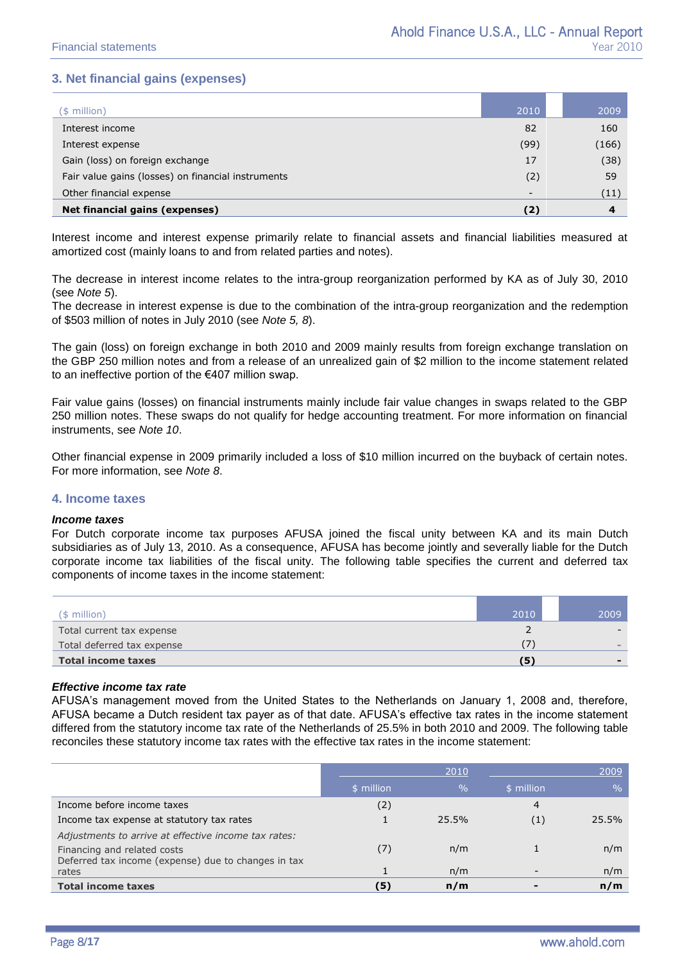## **3. Net financial gains (expenses)**

| $($$ million)                                      | 2010 | 2009  |
|----------------------------------------------------|------|-------|
| Interest income                                    | 82   | 160   |
| Interest expense                                   | (99) | (166) |
| Gain (loss) on foreign exchange                    | 17   | (38)  |
| Fair value gains (losses) on financial instruments | (2)  | 59    |
| Other financial expense                            |      | (11)  |
| Net financial gains (expenses)                     | (2)  | 4     |

Interest income and interest expense primarily relate to financial assets and financial liabilities measured at amortized cost (mainly loans to and from related parties and notes).

The decrease in interest income relates to the intra-group reorganization performed by KA as of July 30, 2010 (see *Note 5*).

The decrease in interest expense is due to the combination of the intra-group reorganization and the redemption of \$503 million of notes in July 2010 (see *Note 5, 8*).

The gain (loss) on foreign exchange in both 2010 and 2009 mainly results from foreign exchange translation on the GBP 250 million notes and from a release of an unrealized gain of \$2 million to the income statement related to an ineffective portion of the €407 million swap.

Fair value gains (losses) on financial instruments mainly include fair value changes in swaps related to the GBP 250 million notes. These swaps do not qualify for hedge accounting treatment. For more information on financial instruments, see *Note 10*.

Other financial expense in 2009 primarily included a loss of \$10 million incurred on the buyback of certain notes. For more information, see *Note 8*.

#### **4. Income taxes**

#### *Income taxes*

For Dutch corporate income tax purposes AFUSA joined the fiscal unity between KA and its main Dutch subsidiaries as of July 13, 2010. As a consequence, AFUSA has become jointly and severally liable for the Dutch corporate income tax liabilities of the fiscal unity. The following table specifies the current and deferred tax components of income taxes in the income statement:

| (\$ million)               | 2010 | 2009   |
|----------------------------|------|--------|
| Total current tax expense  |      |        |
| Total deferred tax expense | (7   | $\sim$ |
| <b>Total income taxes</b>  | (5)  | -      |

#### *Effective income tax rate*

AFUSA"s management moved from the United States to the Netherlands on January 1, 2008 and, therefore, AFUSA became a Dutch resident tax payer as of that date. AFUSA"s effective tax rates in the income statement differed from the statutory income tax rate of the Netherlands of 25.5% in both 2010 and 2009. The following table reconciles these statutory income tax rates with the effective tax rates in the income statement:

|                                                              |            | 2010          |            | 2009          |
|--------------------------------------------------------------|------------|---------------|------------|---------------|
|                                                              | \$ million | $\frac{0}{0}$ | \$ million | $\frac{0}{0}$ |
| Income before income taxes                                   | (2)        |               | 4          |               |
| Income tax expense at statutory tax rates                    |            | 25.5%         | (1)        | 25.5%         |
| Adjustments to arrive at effective income tax rates:         |            |               |            |               |
| Financing and related costs                                  | (7)        | n/m           |            | n/m           |
| Deferred tax income (expense) due to changes in tax<br>rates |            | n/m           |            | n/m           |
| <b>Total income taxes</b>                                    | (5)        | n/m           |            | n/m           |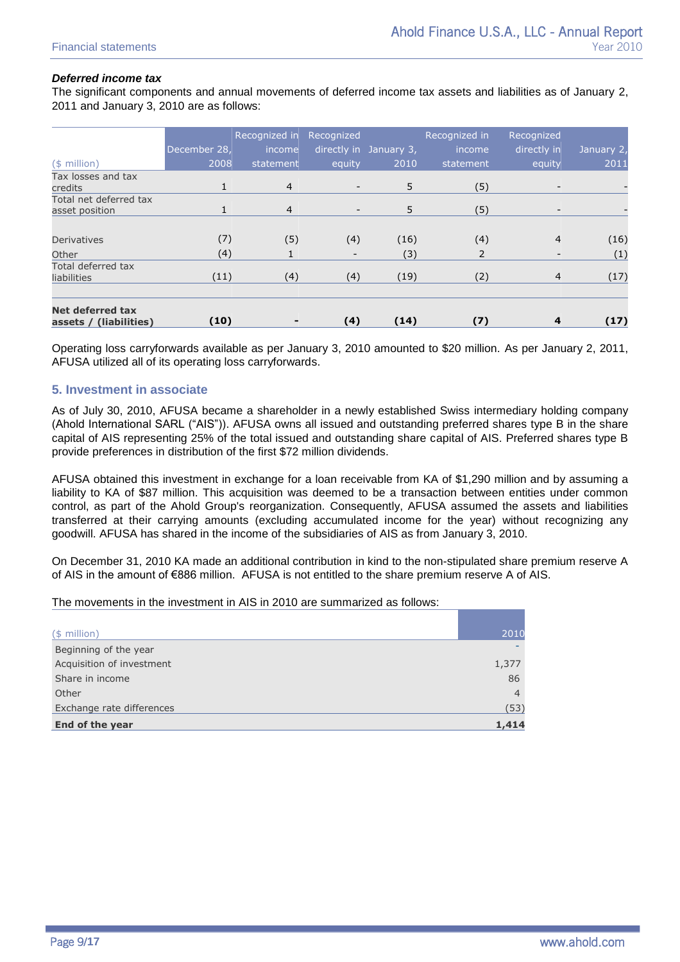#### *Deferred income tax*

The significant components and annual movements of deferred income tax assets and liabilities as of January 2, 2011 and January 3, 2010 are as follows:

|                                            |              | Recognized in  | Recognized               |                        | Recognized in | Recognized               |            |
|--------------------------------------------|--------------|----------------|--------------------------|------------------------|---------------|--------------------------|------------|
|                                            | December 28, | income         |                          | directly in January 3, | income        | directly in              | January 2, |
| $($$ million)                              | 2008         | statement      | equity                   | 2010                   | statement     | equity                   | 2011       |
| Tax losses and tax<br>credits              | 1            | $\overline{4}$ | $\overline{\phantom{a}}$ | 5                      | (5)           | $\overline{\phantom{a}}$ |            |
| Total net deferred tax<br>asset position   | 1            | $\overline{4}$ |                          | 5                      | (5)           | $\overline{\phantom{0}}$ |            |
| <b>Derivatives</b>                         | (7)          | (5)            | (4)                      | (16)                   | (4)           | $\overline{4}$           | (16)       |
| Other                                      | (4)          |                |                          | (3)                    | 2             | $\overline{\phantom{0}}$ | (1)        |
| Total deferred tax<br><b>liabilities</b>   | (11)         | (4)            | (4)                      | (19)                   | (2)           | $\overline{4}$           | (17)       |
| Net deferred tax<br>assets / (liabilities) | (10)         |                | (4)                      | (14)                   | (7)           | 4                        | (17)       |

Operating loss carryforwards available as per January 3, 2010 amounted to \$20 million. As per January 2, 2011, AFUSA utilized all of its operating loss carryforwards.

#### **5. Investment in associate**

As of July 30, 2010, AFUSA became a shareholder in a newly established Swiss intermediary holding company (Ahold International SARL ("AIS")). AFUSA owns all issued and outstanding preferred shares type B in the share capital of AIS representing 25% of the total issued and outstanding share capital of AIS. Preferred shares type B provide preferences in distribution of the first \$72 million dividends.

AFUSA obtained this investment in exchange for a loan receivable from KA of \$1,290 million and by assuming a liability to KA of \$87 million. This acquisition was deemed to be a transaction between entities under common control, as part of the Ahold Group's reorganization. Consequently, AFUSA assumed the assets and liabilities transferred at their carrying amounts (excluding accumulated income for the year) without recognizing any goodwill. AFUSA has shared in the income of the subsidiaries of AIS as from January 3, 2010.

On December 31, 2010 KA made an additional contribution in kind to the non-stipulated share premium reserve A of AIS in the amount of €886 million. AFUSA is not entitled to the share premium reserve A of AIS.

#### The movements in the investment in AIS in 2010 are summarized as follows:

| $($$ million)             | 2010           |
|---------------------------|----------------|
| Beginning of the year     |                |
| Acquisition of investment | 1,377          |
| Share in income           | 86             |
| Other                     | $\overline{4}$ |
| Exchange rate differences | (53)           |
| End of the year           | 1,414          |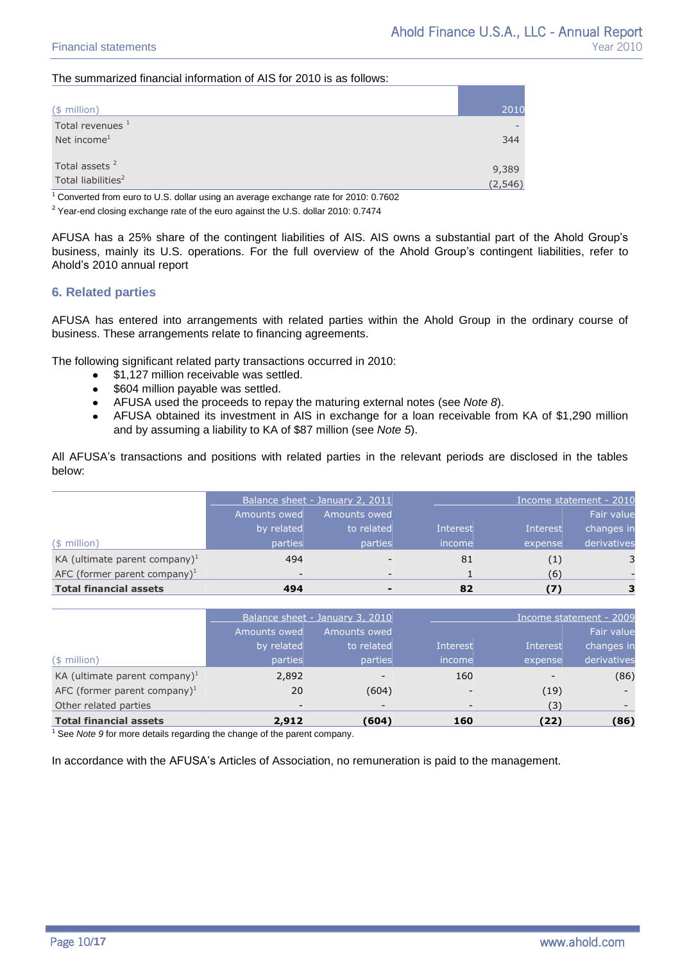#### The summarized financial information of AIS for 2010 is as follows:

| $($$ million)                  | 2010     |
|--------------------------------|----------|
| Total revenues <sup>1</sup>    |          |
| Net income $1$                 | 344      |
| Total assets <sup>2</sup>      | 9,389    |
| Total liabilities <sup>2</sup> | (2, 546) |

 $1$  Converted from euro to U.S. dollar using an average exchange rate for 2010: 0.7602

<sup>2</sup> Year-end closing exchange rate of the euro against the U.S. dollar 2010: 0.7474

AFUSA has a 25% share of the contingent liabilities of AIS. AIS owns a substantial part of the Ahold Group"s business, mainly its U.S. operations. For the full overview of the Ahold Group"s contingent liabilities, refer to Ahold"s 2010 annual report

#### **6. Related parties**

AFUSA has entered into arrangements with related parties within the Ahold Group in the ordinary course of business. These arrangements relate to financing agreements.

The following significant related party transactions occurred in 2010:

- \$1,127 million receivable was settled.
- \$604 million payable was settled.  $\bullet$
- AFUSA used the proceeds to repay the maturing external notes (see *Note 8*).  $\bullet$
- AFUSA obtained its investment in AIS in exchange for a loan receivable from KA of \$1,290 million  $\bullet$ and by assuming a liability to KA of \$87 million (see *Note 5*).

All AFUSA"s transactions and positions with related parties in the relevant periods are disclosed in the tables below:

|                                           |              | Balance sheet - January 2, 2011 |          |          | Income statement - 2010 |
|-------------------------------------------|--------------|---------------------------------|----------|----------|-------------------------|
|                                           | Amounts owed | Amounts owed                    |          |          | Fair value              |
|                                           | by related   | to related                      | Interest | Interest | changes in              |
| $($$ million)                             | parties      | <b>parties</b>                  | income   | expense  | derivatives             |
| KA (ultimate parent company) <sup>1</sup> | 494          |                                 | 81       | (1)      |                         |
| AFC (former parent company) $1$           |              |                                 |          | (6)      |                         |
| <b>Total financial assets</b>             | 494          |                                 | 82       |          |                         |

|                                           |              | Balance sheet - January 3, 2010 |                          | Income statement - 2009 |                          |  |  |  |
|-------------------------------------------|--------------|---------------------------------|--------------------------|-------------------------|--------------------------|--|--|--|
|                                           | Amounts owed | Amounts owed                    |                          |                         | Fair value               |  |  |  |
|                                           | by related   | to related                      | Interest                 | Interest                | changes in               |  |  |  |
| $($$ million)                             | parties      | <b>parties</b>                  | income                   | expense                 | derivatives              |  |  |  |
| KA (ultimate parent company) <sup>1</sup> | 2,892        | $\overline{\phantom{a}}$        | 160                      |                         | (86)                     |  |  |  |
| AFC (former parent company) $1$           | 20           | (604)                           | $\overline{\phantom{0}}$ | (19)                    | $\overline{\phantom{0}}$ |  |  |  |
| Other related parties                     |              | $\overline{\phantom{a}}$        | -                        | (3)                     | -                        |  |  |  |
| <b>Total financial assets</b>             | 2,912        | (604)                           | 160                      | (22)                    | (86)                     |  |  |  |

<sup>1</sup> See *Note 9* for more details regarding the change of the parent company.

In accordance with the AFUSA"s Articles of Association, no remuneration is paid to the management.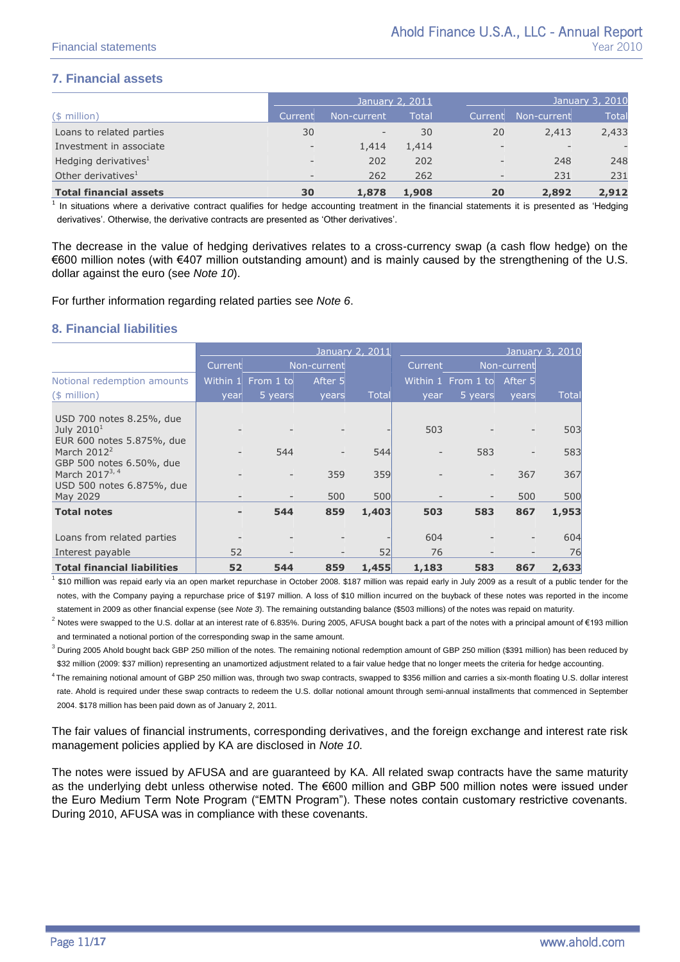## **7. Financial assets**

|                                  |                          | January 2, 2011 | January $3, 2010$ |                          |             |              |
|----------------------------------|--------------------------|-----------------|-------------------|--------------------------|-------------|--------------|
| $($$ million)                    | Current                  | Non-current     | Total             | Current                  | Non-current | <b>Total</b> |
| Loans to related parties         | 30                       |                 | 30                | 20                       | 2,413       | 2,433        |
| Investment in associate          | $\overline{\phantom{a}}$ | 1,414           | 1,414             | $\overline{\phantom{a}}$ |             |              |
| Hedging derivatives <sup>1</sup> | $\sim$                   | 202             | 202               | $\overline{\phantom{a}}$ | 248         | 248          |
| Other derivatives <sup>1</sup>   | $\overline{\phantom{a}}$ | 262             | 262               | $\qquad \qquad -$        | 231         | 231          |
| <b>Total financial assets</b>    | 30                       | 1,878           | 1,908             | 20                       | 2,892       | 2,912        |

<sup>1</sup> In situations where a derivative contract qualifies for hedge accounting treatment in the financial statements it is presented as 'Hedging derivatives'. Otherwise, the derivative contracts are presented as 'Other derivatives'.

The decrease in the value of hedging derivatives relates to a cross-currency swap (a cash flow hedge) on the €600 million notes (with €407 million outstanding amount) and is mainly caused by the strengthening of the U.S. dollar against the euro (see *Note 10*).

For further information regarding related parties see *Note 6*.

#### **8. Financial liabilities**

|                                                                                                                                                                                            | January 2, 2011                                      |                    |             |                   |                                 |                                 | January 3, 2010                        |                          |
|--------------------------------------------------------------------------------------------------------------------------------------------------------------------------------------------|------------------------------------------------------|--------------------|-------------|-------------------|---------------------------------|---------------------------------|----------------------------------------|--------------------------|
|                                                                                                                                                                                            | Current                                              |                    | Non-current |                   | Current                         |                                 | Non-current                            |                          |
| Notional redemption amounts                                                                                                                                                                |                                                      | Within 1 From 1 to | After 5     |                   |                                 | Within 1 From 1 to              | After 5                                |                          |
| $($$ million)                                                                                                                                                                              | year                                                 | 5 years            | years       | Total             | year                            | 5 years                         | years                                  | Total                    |
| USD 700 notes 8.25%, due<br>July $20101$<br>EUR 600 notes 5.875%, due<br>March $2012^2$<br>GBP 500 notes 6.50%, due<br>March 2017 <sup>3, 4</sup><br>USD 500 notes 6.875%, due<br>May 2029 | $\overline{\phantom{a}}$<br>$\overline{\phantom{a}}$ | 544                | 359<br>500  | 544<br>359<br>500 | 503<br>$\overline{\phantom{a}}$ | 583<br>$\overline{\phantom{0}}$ | $\overline{\phantom{0}}$<br>367<br>500 | 503<br>583<br>367<br>500 |
| <b>Total notes</b>                                                                                                                                                                         | $\overline{\phantom{a}}$                             | 544                | 859         | 1,403             | 503                             | 583                             | 867                                    | 1,953                    |
| Loans from related parties<br>Interest payable                                                                                                                                             | 52                                                   |                    |             | 52                | 604<br>76                       |                                 |                                        | 604<br>76                |
| <b>Total financial liabilities</b>                                                                                                                                                         | 52                                                   | 544                | 859         | 1,455             | 1,183                           | 583                             | 867                                    | 2,633                    |

1 \$10 million was repaid early via an open market repurchase in October 2008. \$187 million was repaid early in July 2009 as a result of a public tender for the notes, with the Company paying a repurchase price of \$197 million. A loss of \$10 million incurred on the buyback of these notes was reported in the income statement in 2009 as other financial expense (see *Note 3*). The remaining outstanding balance (\$503 millions) of the notes was repaid on maturity.

2 Notes were swapped to the U.S. dollar at an interest rate of 6.835%. During 2005, AFUSA bought back a part of the notes with a principal amount of €193 million and terminated a notional portion of the corresponding swap in the same amount.

3 During 2005 Ahold bought back GBP 250 million of the notes. The remaining notional redemption amount of GBP 250 million (\$391 million) has been reduced by \$32 million (2009: \$37 million) representing an unamortized adjustment related to a fair value hedge that no longer meets the criteria for hedge accounting.

<sup>4</sup>The remaining notional amount of GBP 250 million was, through two swap contracts, swapped to \$356 million and carries a six-month floating U.S. dollar interest rate. Ahold is required under these swap contracts to redeem the U.S. dollar notional amount through semi-annual installments that commenced in September 2004. \$178 million has been paid down as of January 2, 2011.

The fair values of financial instruments, corresponding derivatives, and the foreign exchange and interest rate risk management policies applied by KA are disclosed in *Note 10*.

The notes were issued by AFUSA and are guaranteed by KA. All related swap contracts have the same maturity as the underlying debt unless otherwise noted. The €600 million and GBP 500 million notes were issued under the Euro Medium Term Note Program ("EMTN Program"). These notes contain customary restrictive covenants. During 2010, AFUSA was in compliance with these covenants.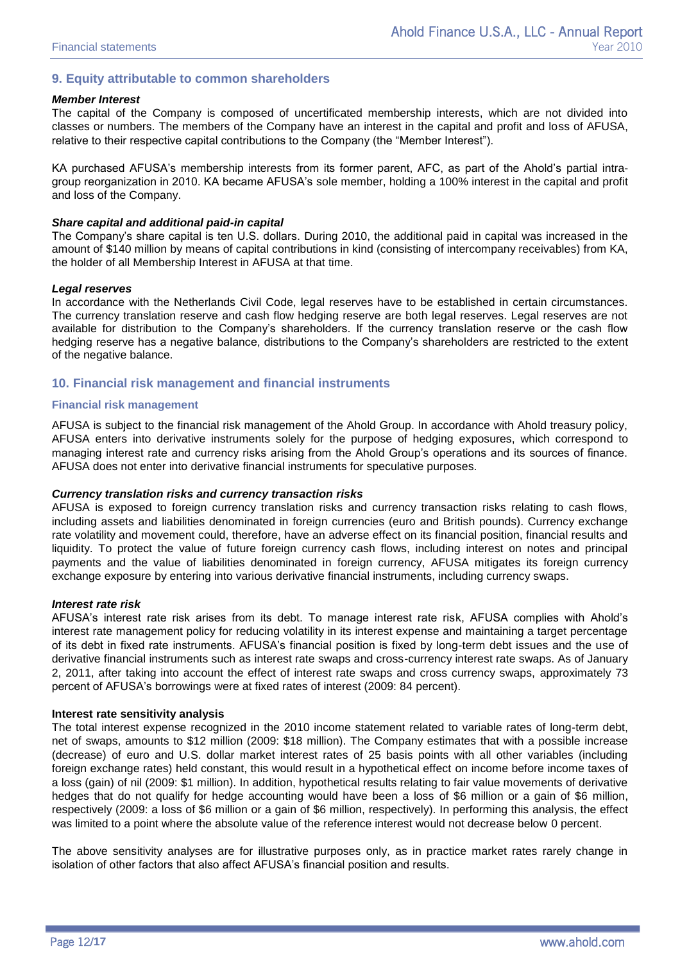#### **9. Equity attributable to common shareholders**

#### *Member Interest*

The capital of the Company is composed of uncertificated membership interests, which are not divided into classes or numbers. The members of the Company have an interest in the capital and profit and loss of AFUSA, relative to their respective capital contributions to the Company (the "Member Interest").

KA purchased AFUSA"s membership interests from its former parent, AFC, as part of the Ahold"s partial intragroup reorganization in 2010. KA became AFUSA"s sole member, holding a 100% interest in the capital and profit and loss of the Company.

#### *Share capital and additional paid-in capital*

The Company"s share capital is ten U.S. dollars. During 2010, the additional paid in capital was increased in the amount of \$140 million by means of capital contributions in kind (consisting of intercompany receivables) from KA, the holder of all Membership Interest in AFUSA at that time.

#### *Legal reserves*

In accordance with the Netherlands Civil Code, legal reserves have to be established in certain circumstances. The currency translation reserve and cash flow hedging reserve are both legal reserves. Legal reserves are not available for distribution to the Company's shareholders. If the currency translation reserve or the cash flow hedging reserve has a negative balance, distributions to the Company"s shareholders are restricted to the extent of the negative balance.

#### **10. Financial risk management and financial instruments**

#### **Financial risk management**

AFUSA is subject to the financial risk management of the Ahold Group. In accordance with Ahold treasury policy, AFUSA enters into derivative instruments solely for the purpose of hedging exposures, which correspond to managing interest rate and currency risks arising from the Ahold Group"s operations and its sources of finance. AFUSA does not enter into derivative financial instruments for speculative purposes.

#### *Currency translation risks and currency transaction risks*

AFUSA is exposed to foreign currency translation risks and currency transaction risks relating to cash flows, including assets and liabilities denominated in foreign currencies (euro and British pounds). Currency exchange rate volatility and movement could, therefore, have an adverse effect on its financial position, financial results and liquidity. To protect the value of future foreign currency cash flows, including interest on notes and principal payments and the value of liabilities denominated in foreign currency, AFUSA mitigates its foreign currency exchange exposure by entering into various derivative financial instruments, including currency swaps.

#### *Interest rate risk*

AFUSA"s interest rate risk arises from its debt. To manage interest rate risk, AFUSA complies with Ahold"s interest rate management policy for reducing volatility in its interest expense and maintaining a target percentage of its debt in fixed rate instruments. AFUSA"s financial position is fixed by long-term debt issues and the use of derivative financial instruments such as interest rate swaps and cross-currency interest rate swaps. As of January 2, 2011, after taking into account the effect of interest rate swaps and cross currency swaps, approximately 73 percent of AFUSA"s borrowings were at fixed rates of interest (2009: 84 percent).

#### **Interest rate sensitivity analysis**

The total interest expense recognized in the 2010 income statement related to variable rates of long-term debt, net of swaps, amounts to \$12 million (2009: \$18 million). The Company estimates that with a possible increase (decrease) of euro and U.S. dollar market interest rates of 25 basis points with all other variables (including foreign exchange rates) held constant, this would result in a hypothetical effect on income before income taxes of a loss (gain) of nil (2009: \$1 million). In addition, hypothetical results relating to fair value movements of derivative hedges that do not qualify for hedge accounting would have been a loss of \$6 million or a gain of \$6 million, respectively (2009: a loss of \$6 million or a gain of \$6 million, respectively). In performing this analysis, the effect was limited to a point where the absolute value of the reference interest would not decrease below 0 percent.

The above sensitivity analyses are for illustrative purposes only, as in practice market rates rarely change in isolation of other factors that also affect AFUSA"s financial position and results.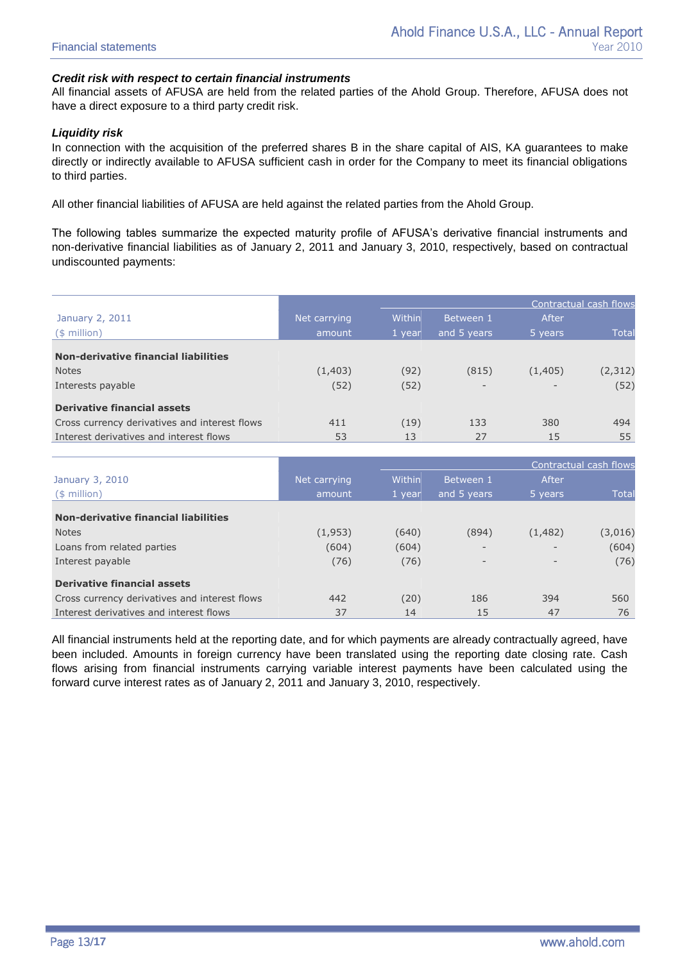#### *Credit risk with respect to certain financial instruments*

All financial assets of AFUSA are held from the related parties of the Ahold Group. Therefore, AFUSA does not have a direct exposure to a third party credit risk.

#### *Liquidity risk*

In connection with the acquisition of the preferred shares B in the share capital of AIS, KA guarantees to make directly or indirectly available to AFUSA sufficient cash in order for the Company to meet its financial obligations to third parties.

All other financial liabilities of AFUSA are held against the related parties from the Ahold Group.

The following tables summarize the expected maturity profile of AFUSA"s derivative financial instruments and non-derivative financial liabilities as of January 2, 2011 and January 3, 2010, respectively, based on contractual undiscounted payments:

|                                                                           |                 |              |             |         | Contractual cash flows |
|---------------------------------------------------------------------------|-----------------|--------------|-------------|---------|------------------------|
| January 2, 2011                                                           | Net carrying    | Within       | Between 1   | After   |                        |
| $($$ million $)$                                                          | amount          | 1 year       | and 5 years | 5 years | <b>Total</b>           |
| Non-derivative financial liabilities<br><b>Notes</b><br>Interests payable | (1,403)<br>(52) | (92)<br>(52) | (815)       | (1,405) | (2,312)<br>(52)        |
| <b>Derivative financial assets</b>                                        |                 |              |             |         |                        |
| Cross currency derivatives and interest flows                             | 411             | (19)         | 133         | 380     | 494                    |
| Interest derivatives and interest flows                                   | 53              | 13           | 27          | 15      | 55                     |

|                                               |              |        |                          |                   | Contractual cash flows |
|-----------------------------------------------|--------------|--------|--------------------------|-------------------|------------------------|
| January 3, 2010                               | Net carrying | Within | Between 1                | After             |                        |
| $($$ million $)$                              | amount       | 1 year | and 5 years              | 5 years           | <b>Total</b>           |
| Non-derivative financial liabilities          |              |        |                          |                   |                        |
| <b>Notes</b>                                  | (1,953)      | (640)  | (894)                    | (1,482)           | (3,016)                |
| Loans from related parties                    | (604)        | (604)  | $\overline{\phantom{0}}$ | $\qquad \qquad =$ | (604)                  |
| Interest payable                              | (76)         | (76)   | $\qquad \qquad$          | $\qquad \qquad =$ | (76)                   |
| <b>Derivative financial assets</b>            |              |        |                          |                   |                        |
| Cross currency derivatives and interest flows | 442          | (20)   | 186                      | 394               | 560                    |
| Interest derivatives and interest flows       | 37           | 14     | 15                       | 47                | 76                     |

All financial instruments held at the reporting date, and for which payments are already contractually agreed, have been included. Amounts in foreign currency have been translated using the reporting date closing rate. Cash flows arising from financial instruments carrying variable interest payments have been calculated using the forward curve interest rates as of January 2, 2011 and January 3, 2010, respectively.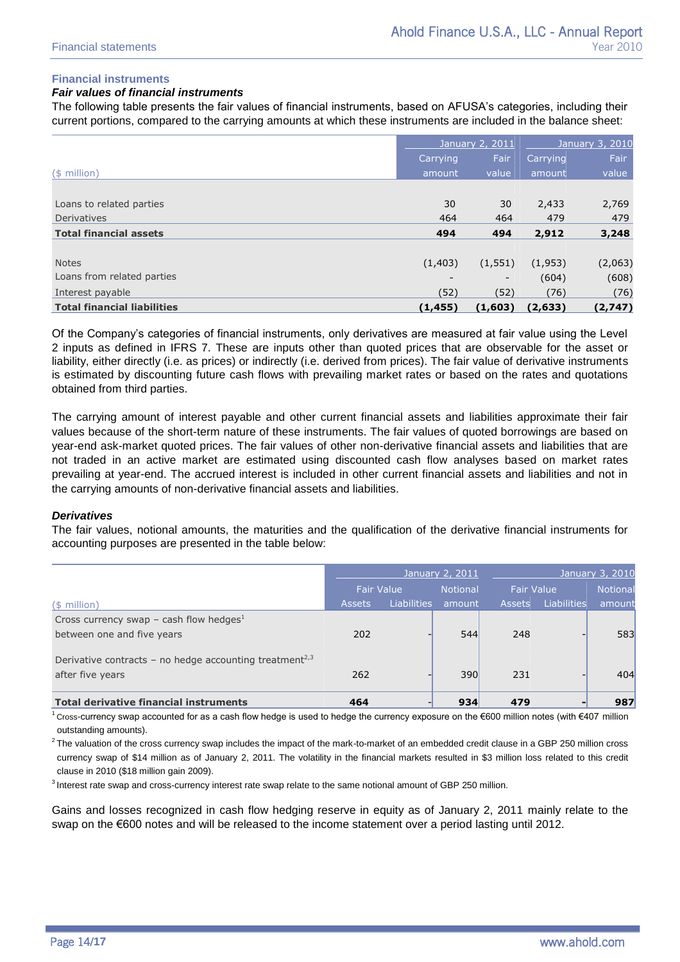#### **Financial instruments**

#### *Fair values of financial instruments*

The following table presents the fair values of financial instruments, based on AFUSA"s categories, including their current portions, compared to the carrying amounts at which these instruments are included in the balance sheet:

|                                    |                 | January 2, 2011          | January 3, 2010 |          |  |
|------------------------------------|-----------------|--------------------------|-----------------|----------|--|
|                                    | Carrying        | Fair                     | Carrying        | Fair     |  |
| $($$ million)                      | amount          | value                    | amount          | value    |  |
|                                    |                 |                          |                 |          |  |
| Loans to related parties           | 30              | 30                       | 2,433           | 2,769    |  |
| Derivatives                        | 464             | 464                      | 479             | 479      |  |
| <b>Total financial assets</b>      | 494             | 494                      | 2,912           | 3,248    |  |
|                                    |                 |                          |                 |          |  |
| <b>Notes</b>                       | (1,403)         | (1, 551)                 | (1,953)         | (2,063)  |  |
| Loans from related parties         | $\qquad \qquad$ | $\overline{\phantom{a}}$ | (604)           | (608)    |  |
| Interest payable                   | (52)            | (52)                     | (76)            | (76)     |  |
| <b>Total financial liabilities</b> | (1, 455)        | (1,603)                  | (2,633)         | (2, 747) |  |

Of the Company"s categories of financial instruments, only derivatives are measured at fair value using the Level 2 inputs as defined in IFRS 7. These are inputs other than quoted prices that are observable for the asset or liability, either directly (i.e. as prices) or indirectly (i.e. derived from prices). The fair value of derivative instruments is estimated by discounting future cash flows with prevailing market rates or based on the rates and quotations obtained from third parties.

The carrying amount of interest payable and other current financial assets and liabilities approximate their fair values because of the short-term nature of these instruments. The fair values of quoted borrowings are based on year-end ask-market quoted prices. The fair values of other non-derivative financial assets and liabilities that are not traded in an active market are estimated using discounted cash flow analyses based on market rates prevailing at year-end. The accrued interest is included in other current financial assets and liabilities and not in the carrying amounts of non-derivative financial assets and liabilities.

#### *Derivatives*

The fair values, notional amounts, the maturities and the qualification of the derivative financial instruments for accounting purposes are presented in the table below:

|                                                                                         |               |                    | January 2, 2011 |                   | January 3, 2010    |                 |  |
|-----------------------------------------------------------------------------------------|---------------|--------------------|-----------------|-------------------|--------------------|-----------------|--|
|                                                                                         |               | <b>Fair Value</b>  | <b>Notional</b> | <b>Fair Value</b> |                    | <b>Notional</b> |  |
| $($$ million $)$                                                                        | <b>Assets</b> | <b>Liabilities</b> | amount          | <b>Assets</b>     | <b>Liabilities</b> | amount          |  |
| Cross currency swap – cash flow hedges <sup>1</sup><br>between one and five years       | 202           |                    | 544             | 248               |                    | 583             |  |
| Derivative contracts - no hedge accounting treatment <sup>2,3</sup><br>after five years | 262           |                    | 390             | 231               |                    | 404             |  |
| <b>Total derivative financial instruments</b>                                           | 464           |                    | 934             | 479               |                    | 987             |  |

<sup>1</sup>Cross-currency swap accounted for as a cash flow hedge is used to hedge the currency exposure on the €600 million notes (with €407 million outstanding amounts).

 $2$ The valuation of the cross currency swap includes the impact of the mark-to-market of an embedded credit clause in a GBP 250 million cross currency swap of \$14 million as of January 2, 2011. The volatility in the financial markets resulted in \$3 million loss related to this credit clause in 2010 (\$18 million gain 2009).

<sup>3</sup> Interest rate swap and cross-currency interest rate swap relate to the same notional amount of GBP 250 million.

Gains and losses recognized in cash flow hedging reserve in equity as of January 2, 2011 mainly relate to the swap on the €600 notes and will be released to the income statement over a period lasting until 2012.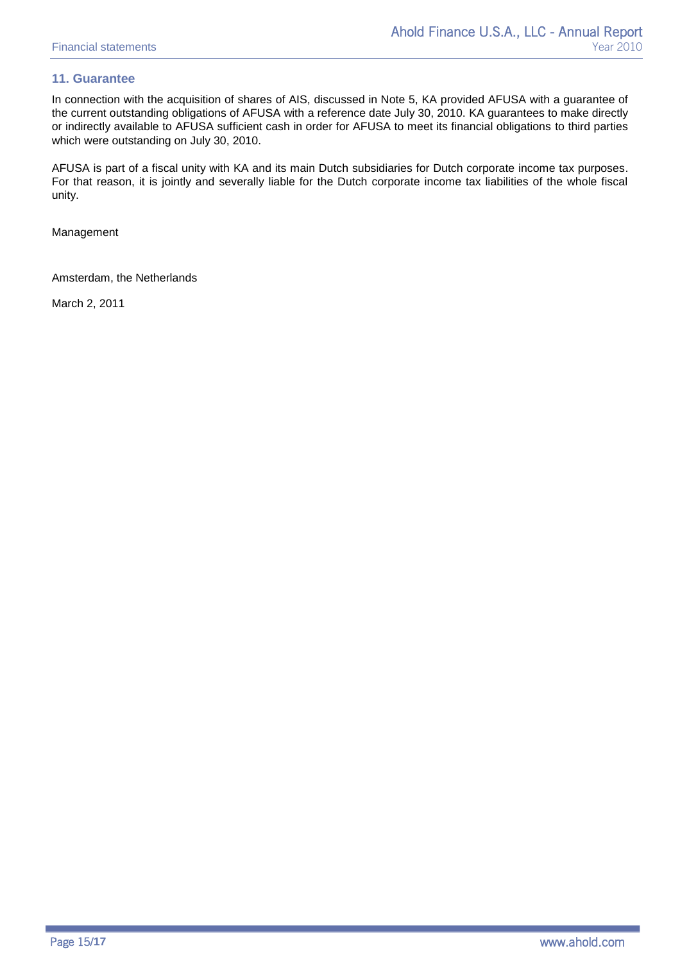## **11. Guarantee**

In connection with the acquisition of shares of AIS, discussed in Note 5, KA provided AFUSA with a guarantee of the current outstanding obligations of AFUSA with a reference date July 30, 2010. KA guarantees to make directly or indirectly available to AFUSA sufficient cash in order for AFUSA to meet its financial obligations to third parties which were outstanding on July 30, 2010.

AFUSA is part of a fiscal unity with KA and its main Dutch subsidiaries for Dutch corporate income tax purposes. For that reason, it is jointly and severally liable for the Dutch corporate income tax liabilities of the whole fiscal unity.

Management

Amsterdam, the Netherlands

March 2, 2011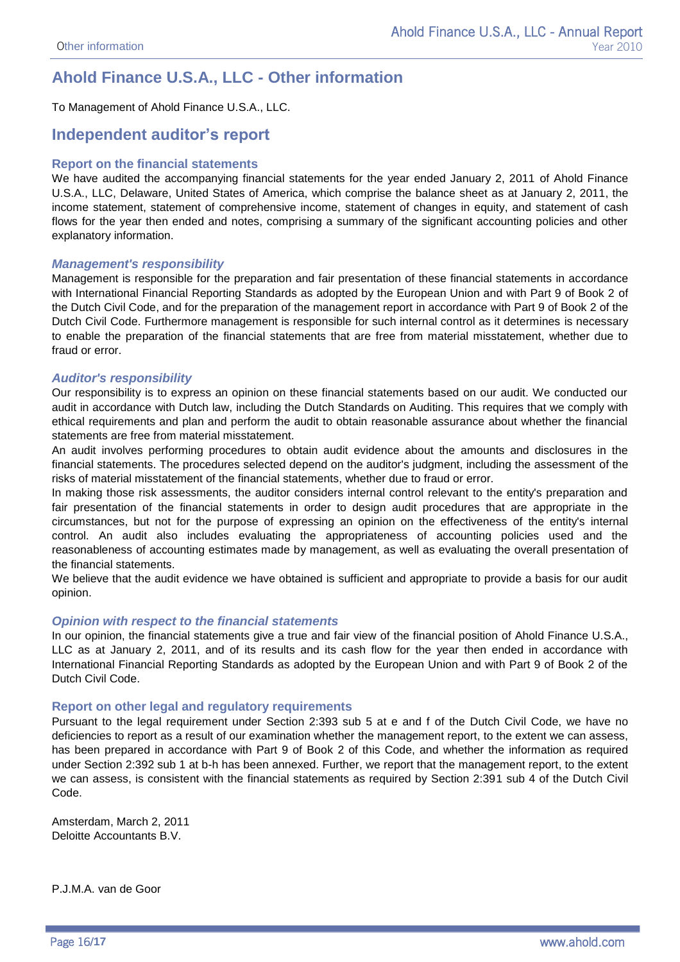# **Ahold Finance U.S.A., LLC - Other information**

To Management of Ahold Finance U.S.A., LLC.

## **Independent auditor's report**

## **Report on the financial statements**

We have audited the accompanying financial statements for the year ended January 2, 2011 of Ahold Finance U.S.A., LLC, Delaware, United States of America, which comprise the balance sheet as at January 2, 2011, the income statement, statement of comprehensive income, statement of changes in equity, and statement of cash flows for the year then ended and notes, comprising a summary of the significant accounting policies and other explanatory information.

#### *Management's responsibility*

Management is responsible for the preparation and fair presentation of these financial statements in accordance with International Financial Reporting Standards as adopted by the European Union and with Part 9 of Book 2 of the Dutch Civil Code, and for the preparation of the management report in accordance with Part 9 of Book 2 of the Dutch Civil Code. Furthermore management is responsible for such internal control as it determines is necessary to enable the preparation of the financial statements that are free from material misstatement, whether due to fraud or error.

#### *Auditor's responsibility*

Our responsibility is to express an opinion on these financial statements based on our audit. We conducted our audit in accordance with Dutch law, including the Dutch Standards on Auditing. This requires that we comply with ethical requirements and plan and perform the audit to obtain reasonable assurance about whether the financial statements are free from material misstatement.

An audit involves performing procedures to obtain audit evidence about the amounts and disclosures in the financial statements. The procedures selected depend on the auditor's judgment, including the assessment of the risks of material misstatement of the financial statements, whether due to fraud or error.

In making those risk assessments, the auditor considers internal control relevant to the entity's preparation and fair presentation of the financial statements in order to design audit procedures that are appropriate in the circumstances, but not for the purpose of expressing an opinion on the effectiveness of the entity's internal control. An audit also includes evaluating the appropriateness of accounting policies used and the reasonableness of accounting estimates made by management, as well as evaluating the overall presentation of the financial statements.

We believe that the audit evidence we have obtained is sufficient and appropriate to provide a basis for our audit opinion.

#### *Opinion with respect to the financial statements*

In our opinion, the financial statements give a true and fair view of the financial position of Ahold Finance U.S.A., LLC as at January 2, 2011, and of its results and its cash flow for the year then ended in accordance with International Financial Reporting Standards as adopted by the European Union and with Part 9 of Book 2 of the Dutch Civil Code.

#### **Report on other legal and regulatory requirements**

Pursuant to the legal requirement under Section 2:393 sub 5 at e and f of the Dutch Civil Code, we have no deficiencies to report as a result of our examination whether the management report, to the extent we can assess, has been prepared in accordance with Part 9 of Book 2 of this Code, and whether the information as required under Section 2:392 sub 1 at b-h has been annexed. Further, we report that the management report, to the extent we can assess, is consistent with the financial statements as required by Section 2:391 sub 4 of the Dutch Civil Code.

Amsterdam, March 2, 2011 Deloitte Accountants B.V.

P.J.M.A. van de Goor